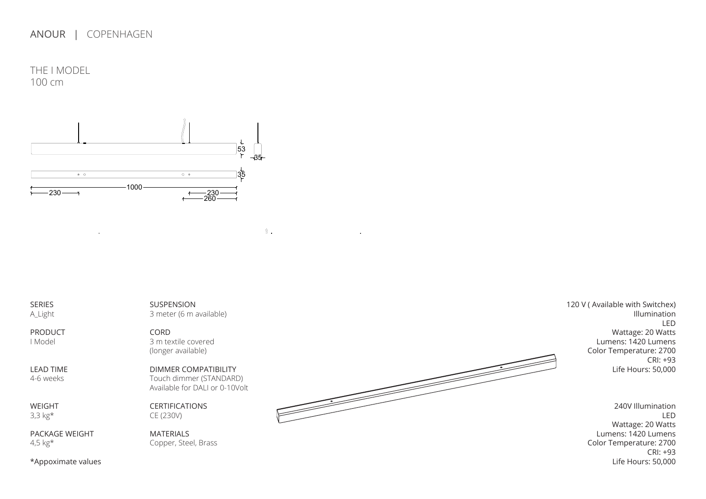THE I MODEL 100 cm



SERIES A\_Light

PRODUCT I Model

LEAD TIME 4-6 weeks

WEIGHT 3,3 kg\*

PACKAGE WEIGHT 4,5 kg\*

SUSPENSION 3 meter (6 m available)  $\mathbf{N}$ .

CORD 3 m textile covered (longer available)

DIMMER COMPATIBILITY Touch dimmer (STANDARD) Available for DALI or 0-10Volt

CERTIFICATIONS CE (230V)

MATERIALS Copper, Steel, Brass



120 V ( Available with Switchex) Illumination LED Wattage: 20 Watts Lumens: 1420 Lumens Color Temperature: 2700 CRI: +93 Life Hours: 50,000

> 240V Illumination LED Wattage: 20 Watts Lumens: 1420 Lumens Color Temperature: 2700 CRI: +93 Life Hours: 50,000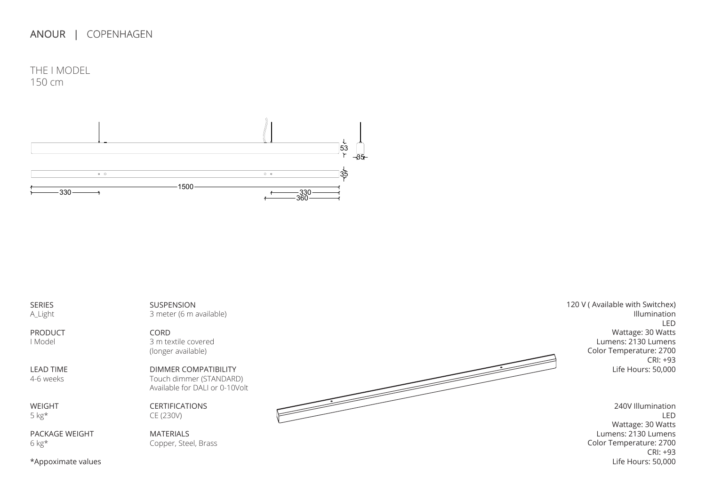THE I MODEL 150 cm  $230$ 



SERIES A\_Light

PRODUCT I Model

LEAD TIME 4-6 weeks

WEIGHT 5 kg\*

PACKAGE WEIGHT 6 kg\*

SUSPENSION 3 meter (6 m available)

CORD 3 m textile covered (longer available)

DIMMER COMPATIBILITY Touch dimmer (STANDARD) Available for DALI or 0-10Volt

CERTIFICATIONS CE (230V)

MATERIALS Copper, Steel, Brass



120 V ( Available with Switchex) Illumination LED Wattage: 30 Watts Lumens: 2130 Lumens Color Temperature: 2700 CRI: +93 Life Hours: 50,000

> 240V Illumination LED Wattage: 30 Watts Lumens: 2130 Lumens Color Temperature: 2700 CRI: +93 Life Hours: 50,000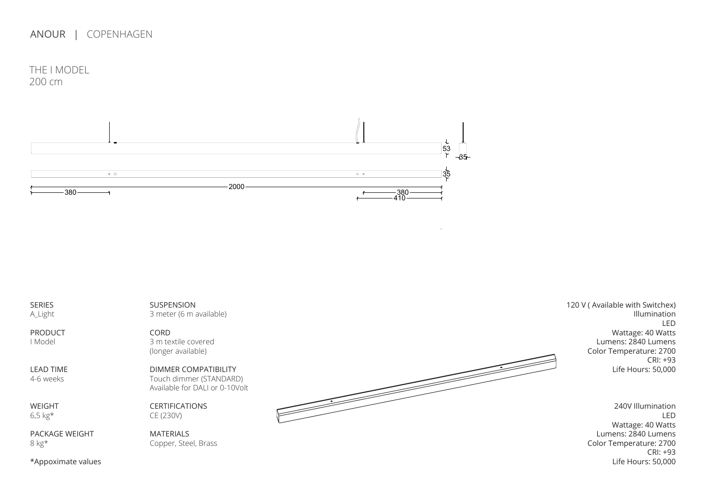THE I MODEL 200 cm 330



SERIES A\_Light PRODUCT I Model LEAD TIME 4-6 weeks WEIGHT 6,5 kg\* PACKAGE WEIGHT 8 kg\* 120 V ( Available with Switchex) Illumination LED Wattage: 40 Watts Lumens: 2840 Lumens Color Temperature: 2700 CRI: +93 Life Hours: 50,000 53 240V Illumination LED Wattage: 40 Watts Lumens: 2840 Lumens Color Temperature: 2700 CRI: +93 SUSPENSION 3 meter (6 m available) CORD 3 m textile covered (longer available) DIMMER COMPATIBILITY Touch dimmer (STANDARD) Available for DALI or 0-10Volt CERTIFICATIONS CE (230V) MATERIALS Copper, Steel, Brass 3000

Life Hours: 50,000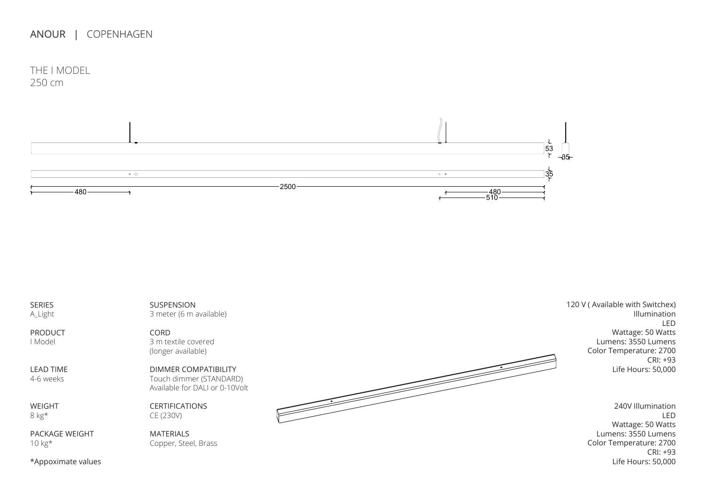THE I MODEL



SERIES A\_Light

PRODUCT I Model

LEAD TIME 4-6 weeks

WEIGHT 8 kg\*

PACKAGE WEIGHT 10 kg\*

SUSPENSION 3 meter (6 m available)

CORD 3 m textile covered (longer available)

DIMMER COMPATIBILITY Touch dimmer (STANDARD) Available for DALI or 0-10Volt

CERTIFICATIONS CE (230V)

**MATERIALS** Copper, Steel, Brass



120 V (Available with Switchex) Illumination LED Wattage: 50 Watts Lumens: 3550 Lumens Color Temperature: 2700 CRI: +93 Life Hours: 50,000

> 240V Illumination LED Wattage: 50 Watts Lumens: 3550 Lumens Color Temperature: 2700 CRI: +93 Life Hours: 50,000